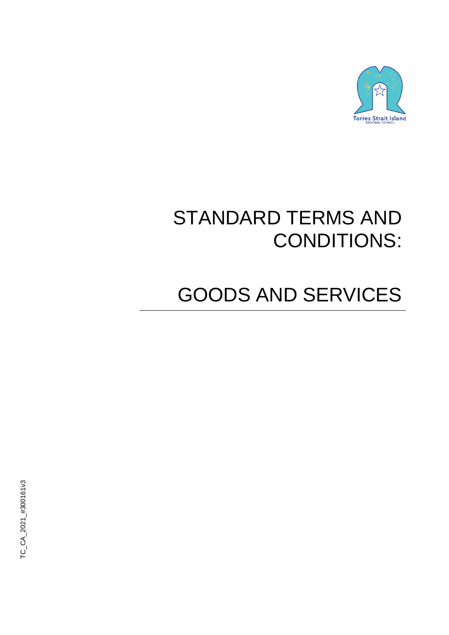

# STANDARD TERMS AND CONDITIONS:

# GOODS AND SERVICES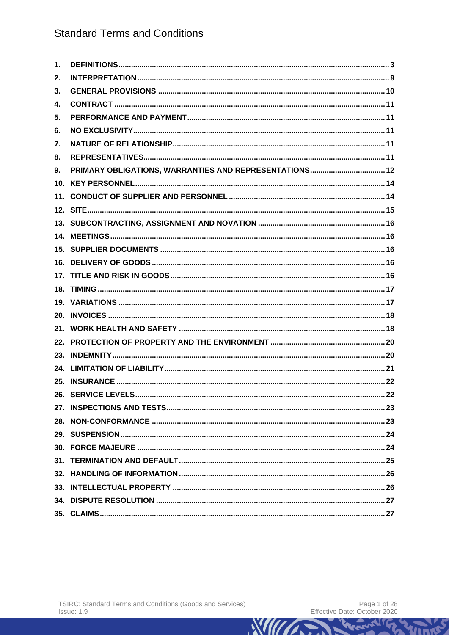| 1. |  |
|----|--|
| 2. |  |
| 3. |  |
| 4. |  |
| 5. |  |
| 6. |  |
| 7. |  |
| 8. |  |
| 9. |  |
|    |  |
|    |  |
|    |  |
|    |  |
|    |  |
|    |  |
|    |  |
|    |  |
|    |  |
|    |  |
|    |  |
|    |  |
|    |  |
|    |  |
|    |  |
|    |  |
|    |  |
|    |  |
|    |  |
|    |  |
|    |  |
|    |  |
|    |  |
|    |  |
|    |  |
|    |  |

Wind

VILLES

**WILLIAMS**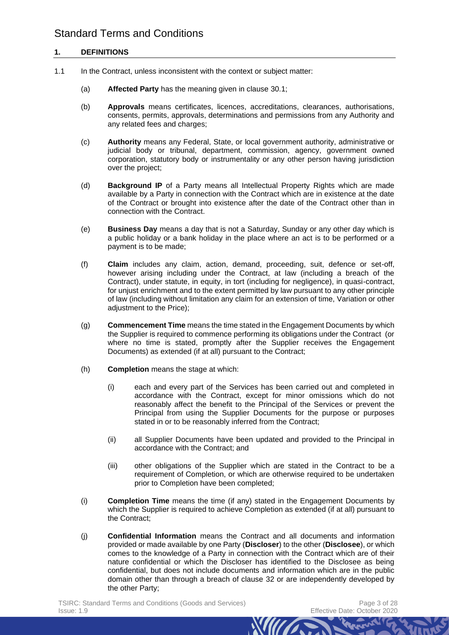# **1. DEFINITIONS**

- <span id="page-2-0"></span>1.1 In the Contract, unless inconsistent with the context or subject matter:
	- (a) **Affected Party** has the meaning given in clause [30.1;](#page-23-0)
	- (b) **Approvals** means certificates, licences, accreditations, clearances, authorisations, consents, permits, approvals, determinations and permissions from any Authority and any related fees and charges;
	- (c) **Authority** means any Federal, State, or local government authority, administrative or judicial body or tribunal, department, commission, agency, government owned corporation, statutory body or instrumentality or any other person having jurisdiction over the project;
	- (d) **Background IP** of a Party means all Intellectual Property Rights which are made available by a Party in connection with the Contract which are in existence at the date of the Contract or brought into existence after the date of the Contract other than in connection with the Contract.
	- (e) **Business Day** means a day that is not a Saturday, Sunday or any other day which is a public holiday or a bank holiday in the place where an act is to be performed or a payment is to be made;
	- (f) **Claim** includes any claim, action, demand, proceeding, suit, defence or set-off, however arising including under the Contract, at law (including a breach of the Contract), under statute, in equity, in tort (including for negligence), in quasi-contract, for unjust enrichment and to the extent permitted by law pursuant to any other principle of law (including without limitation any claim for an extension of time, Variation or other adjustment to the Price);
	- (g) **Commencement Time** means the time stated in the Engagement Documents by which the Supplier is required to commence performing its obligations under the Contract (or where no time is stated, promptly after the Supplier receives the Engagement Documents) as extended (if at all) pursuant to the Contract;
	- (h) **Completion** means the stage at which:
		- (i) each and every part of the Services has been carried out and completed in accordance with the Contract, except for minor omissions which do not reasonably affect the benefit to the Principal of the Services or prevent the Principal from using the Supplier Documents for the purpose or purposes stated in or to be reasonably inferred from the Contract;
		- (ii) all Supplier Documents have been updated and provided to the Principal in accordance with the Contract; and
		- (iii) other obligations of the Supplier which are stated in the Contract to be a requirement of Completion, or which are otherwise required to be undertaken prior to Completion have been completed;
	- (i) **Completion Time** means the time (if any) stated in the Engagement Documents by which the Supplier is required to achieve Completion as extended (if at all) pursuant to the Contract;
	- (j) **Confidential Information** means the Contract and all documents and information provided or made available by one Party (**Discloser**) to the other (**Disclosee**), or which comes to the knowledge of a Party in connection with the Contract which are of their nature confidential or which the Discloser has identified to the Disclosee as being confidential, but does not include documents and information which are in the public domain other than through a breach of clause [32](#page-25-0) or are independently developed by the other Party;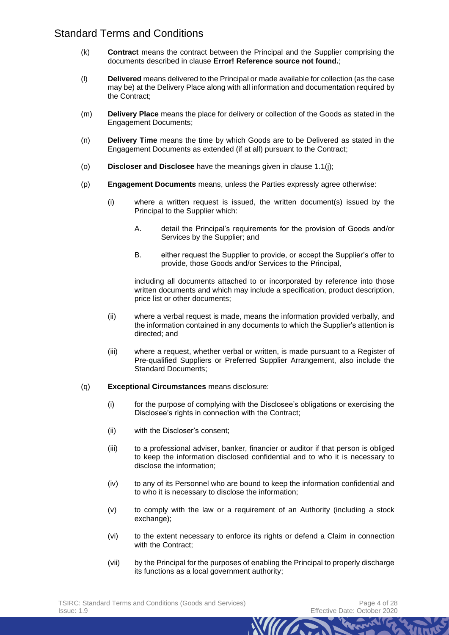- (k) **Contract** means the contract between the Principal and the Supplier comprising the documents described in clause **Error! Reference source not found.**;
- (l) **Delivered** means delivered to the Principal or made available for collection (as the case may be) at the Delivery Place along with all information and documentation required by the Contract;
- (m) **Delivery Place** means the place for delivery or collection of the Goods as stated in the Engagement Documents;
- (n) **Delivery Time** means the time by which Goods are to be Delivered as stated in the Engagement Documents as extended (if at all) pursuant to the Contract;
- (o) **Discloser and Disclosee** have the meanings given in clause [1.1\(j\);](#page-2-0)
- (p) **Engagement Documents** means, unless the Parties expressly agree otherwise:
	- (i) where a written request is issued, the written document(s) issued by the Principal to the Supplier which:
		- A. detail the Principal's requirements for the provision of Goods and/or Services by the Supplier; and
		- B. either request the Supplier to provide, or accept the Supplier's offer to provide, those Goods and/or Services to the Principal,

including all documents attached to or incorporated by reference into those written documents and which may include a specification, product description, price list or other documents;

- (ii) where a verbal request is made, means the information provided verbally, and the information contained in any documents to which the Supplier's attention is directed; and
- (iii) where a request, whether verbal or written, is made pursuant to a Register of Pre-qualified Suppliers or Preferred Supplier Arrangement, also include the Standard Documents;
- (q) **Exceptional Circumstances** means disclosure:
	- (i) for the purpose of complying with the Disclosee's obligations or exercising the Disclosee's rights in connection with the Contract;
	- (ii) with the Discloser's consent;
	- (iii) to a professional adviser, banker, financier or auditor if that person is obliged to keep the information disclosed confidential and to who it is necessary to disclose the information;
	- (iv) to any of its Personnel who are bound to keep the information confidential and to who it is necessary to disclose the information;
	- (v) to comply with the law or a requirement of an Authority (including a stock exchange);
	- (vi) to the extent necessary to enforce its rights or defend a Claim in connection with the Contract:
	- (vii) by the Principal for the purposes of enabling the Principal to properly discharge its functions as a local government authority;

*Mun*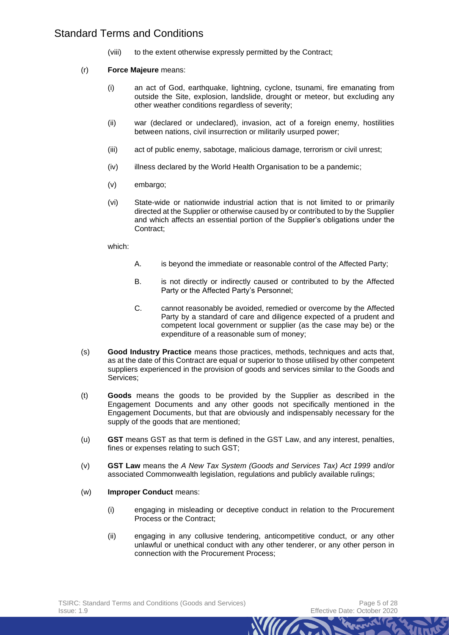- (viii) to the extent otherwise expressly permitted by the Contract;
- (r) **Force Majeure** means:
	- (i) an act of God, earthquake, lightning, cyclone, tsunami, fire emanating from outside the Site, explosion, landslide, drought or meteor, but excluding any other weather conditions regardless of severity;
	- (ii) war (declared or undeclared), invasion, act of a foreign enemy, hostilities between nations, civil insurrection or militarily usurped power;
	- (iii) act of public enemy, sabotage, malicious damage, terrorism or civil unrest;
	- (iv) illness declared by the World Health Organisation to be a pandemic;
	- (v) embargo;
	- (vi) State-wide or nationwide industrial action that is not limited to or primarily directed at the Supplier or otherwise caused by or contributed to by the Supplier and which affects an essential portion of the Supplier's obligations under the Contract;

which:

- A. is beyond the immediate or reasonable control of the Affected Party:
- B. is not directly or indirectly caused or contributed to by the Affected Party or the Affected Party's Personnel;
- C. cannot reasonably be avoided, remedied or overcome by the Affected Party by a standard of care and diligence expected of a prudent and competent local government or supplier (as the case may be) or the expenditure of a reasonable sum of money;
- (s) **Good Industry Practice** means those practices, methods, techniques and acts that, as at the date of this Contract are equal or superior to those utilised by other competent suppliers experienced in the provision of goods and services similar to the Goods and Services;
- (t) **Goods** means the goods to be provided by the Supplier as described in the Engagement Documents and any other goods not specifically mentioned in the Engagement Documents, but that are obviously and indispensably necessary for the supply of the goods that are mentioned;
- (u) **GST** means GST as that term is defined in the GST Law, and any interest, penalties, fines or expenses relating to such GST;
- (v) **GST Law** means the *A New Tax System (Goods and Services Tax) Act 1999* and/or associated Commonwealth legislation, regulations and publicly available rulings;
- (w) **Improper Conduct** means:
	- (i) engaging in misleading or deceptive conduct in relation to the Procurement Process or the Contract;
	- (ii) engaging in any collusive tendering, anticompetitive conduct, or any other unlawful or unethical conduct with any other tenderer, or any other person in connection with the Procurement Process;

*MINT*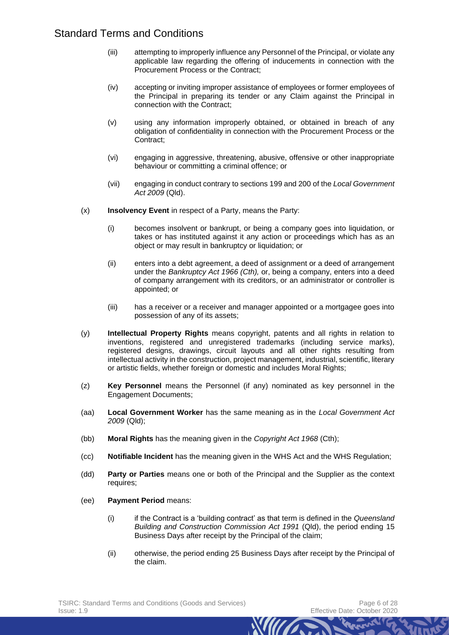- (iii) attempting to improperly influence any Personnel of the Principal, or violate any applicable law regarding the offering of inducements in connection with the Procurement Process or the Contract;
- (iv) accepting or inviting improper assistance of employees or former employees of the Principal in preparing its tender or any Claim against the Principal in connection with the Contract;
- (v) using any information improperly obtained, or obtained in breach of any obligation of confidentiality in connection with the Procurement Process or the Contract;
- (vi) engaging in aggressive, threatening, abusive, offensive or other inappropriate behaviour or committing a criminal offence; or
- (vii) engaging in conduct contrary to sections 199 and 200 of the *Local Government Act 2009* (Qld).
- (x) **Insolvency Event** in respect of a Party, means the Party:
	- (i) becomes insolvent or bankrupt, or being a company goes into liquidation, or takes or has instituted against it any action or proceedings which has as an object or may result in bankruptcy or liquidation; or
	- (ii) enters into a debt agreement, a deed of assignment or a deed of arrangement under the *Bankruptcy Act 1966 (Cth),* or, being a company, enters into a deed of company arrangement with its creditors, or an administrator or controller is appointed; or
	- (iii) has a receiver or a receiver and manager appointed or a mortgagee goes into possession of any of its assets;
- (y) **Intellectual Property Rights** means copyright, patents and all rights in relation to inventions, registered and unregistered trademarks (including service marks), registered designs, drawings, circuit layouts and all other rights resulting from intellectual activity in the construction, project management, industrial, scientific, literary or artistic fields, whether foreign or domestic and includes Moral Rights;
- (z) **Key Personnel** means the Personnel (if any) nominated as key personnel in the Engagement Documents;
- (aa) **Local Government Worker** has the same meaning as in the *Local Government Act 2009* (Qld);
- (bb) **Moral Rights** has the meaning given in the *Copyright Act 1968* (Cth);
- (cc) **Notifiable Incident** has the meaning given in the WHS Act and the WHS Regulation;
- (dd) **Party or Parties** means one or both of the Principal and the Supplier as the context requires;
- (ee) **Payment Period** means:
	- (i) if the Contract is a 'building contract' as that term is defined in the *Queensland Building and Construction Commission Act 1991* (Qld), the period ending 15 Business Days after receipt by the Principal of the claim;
	- (ii) otherwise, the period ending 25 Business Days after receipt by the Principal of the claim.

*MIIT*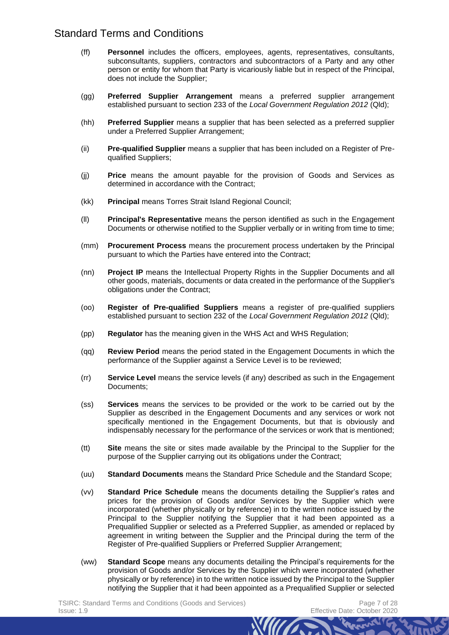- (ff) **Personnel** includes the officers, employees, agents, representatives, consultants, subconsultants, suppliers, contractors and subcontractors of a Party and any other person or entity for whom that Party is vicariously liable but in respect of the Principal, does not include the Supplier;
- (gg) **Preferred Supplier Arrangement** means a preferred supplier arrangement established pursuant to section 233 of the *Local Government Regulation 2012* (Qld);
- (hh) **Preferred Supplier** means a supplier that has been selected as a preferred supplier under a Preferred Supplier Arrangement;
- (ii) **Pre-qualified Supplier** means a supplier that has been included on a Register of Prequalified Suppliers;
- (jj) **Price** means the amount payable for the provision of Goods and Services as determined in accordance with the Contract;
- (kk) **Principal** means Torres Strait Island Regional Council;
- (ll) **Principal's Representative** means the person identified as such in the Engagement Documents or otherwise notified to the Supplier verbally or in writing from time to time;
- (mm) **Procurement Process** means the procurement process undertaken by the Principal pursuant to which the Parties have entered into the Contract;
- (nn) **Project IP** means the Intellectual Property Rights in the Supplier Documents and all other goods, materials, documents or data created in the performance of the Supplier's obligations under the Contract;
- (oo) **Register of Pre-qualified Suppliers** means a register of pre-qualified suppliers established pursuant to section 232 of the *Local Government Regulation 2012* (Qld);
- (pp) **Regulator** has the meaning given in the WHS Act and WHS Regulation;
- (qq) **Review Period** means the period stated in the Engagement Documents in which the performance of the Supplier against a Service Level is to be reviewed;
- (rr) **Service Level** means the service levels (if any) described as such in the Engagement Documents;
- (ss) **Services** means the services to be provided or the work to be carried out by the Supplier as described in the Engagement Documents and any services or work not specifically mentioned in the Engagement Documents, but that is obviously and indispensably necessary for the performance of the services or work that is mentioned;
- (tt) **Site** means the site or sites made available by the Principal to the Supplier for the purpose of the Supplier carrying out its obligations under the Contract;
- (uu) **Standard Documents** means the Standard Price Schedule and the Standard Scope;
- (vv) **Standard Price Schedule** means the documents detailing the Supplier's rates and prices for the provision of Goods and/or Services by the Supplier which were incorporated (whether physically or by reference) in to the written notice issued by the Principal to the Supplier notifying the Supplier that it had been appointed as a Prequalified Supplier or selected as a Preferred Supplier, as amended or replaced by agreement in writing between the Supplier and the Principal during the term of the Register of Pre-qualified Suppliers or Preferred Supplier Arrangement;
- (ww) **Standard Scope** means any documents detailing the Principal's requirements for the provision of Goods and/or Services by the Supplier which were incorporated (whether physically or by reference) in to the written notice issued by the Principal to the Supplier notifying the Supplier that it had been appointed as a Prequalified Supplier or selected

*MITT*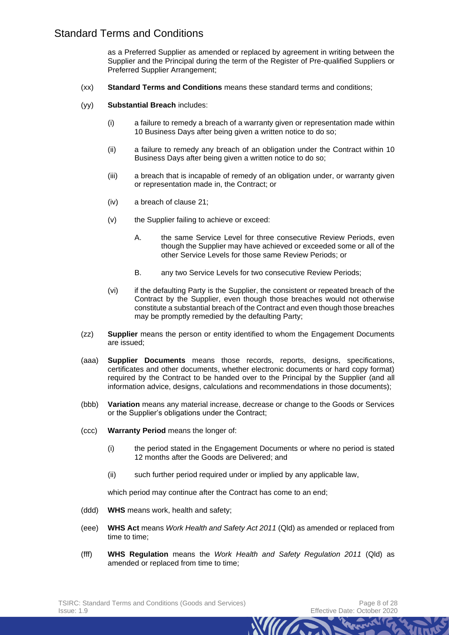as a Preferred Supplier as amended or replaced by agreement in writing between the Supplier and the Principal during the term of the Register of Pre-qualified Suppliers or Preferred Supplier Arrangement;

- (xx) **Standard Terms and Conditions** means these standard terms and conditions;
- (yy) **Substantial Breach** includes:
	- (i) a failure to remedy a breach of a warranty given or representation made within 10 Business Days after being given a written notice to do so;
	- (ii) a failure to remedy any breach of an obligation under the Contract within 10 Business Days after being given a written notice to do so;
	- (iii) a breach that is incapable of remedy of an obligation under, or warranty given or representation made in, the Contract; or
	- (iv) a breach of clause [21;](#page-17-0)
	- (v) the Supplier failing to achieve or exceed:
		- A. the same Service Level for three consecutive Review Periods, even though the Supplier may have achieved or exceeded some or all of the other Service Levels for those same Review Periods; or
		- B. any two Service Levels for two consecutive Review Periods;
	- (vi) if the defaulting Party is the Supplier, the consistent or repeated breach of the Contract by the Supplier, even though those breaches would not otherwise constitute a substantial breach of the Contract and even though those breaches may be promptly remedied by the defaulting Party;
- (zz) **Supplier** means the person or entity identified to whom the Engagement Documents are issued;
- (aaa) **Supplier Documents** means those records, reports, designs, specifications, certificates and other documents, whether electronic documents or hard copy format) required by the Contract to be handed over to the Principal by the Supplier (and all information advice, designs, calculations and recommendations in those documents);
- (bbb) **Variation** means any material increase, decrease or change to the Goods or Services or the Supplier's obligations under the Contract;
- (ccc) **Warranty Period** means the longer of:
	- (i) the period stated in the Engagement Documents or where no period is stated 12 months after the Goods are Delivered; and
	- (ii) such further period required under or implied by any applicable law,

which period may continue after the Contract has come to an end;

- (ddd) **WHS** means work, health and safety;
- (eee) **WHS Act** means *Work Health and Safety Act 2011* (Qld) as amended or replaced from time to time;
- (fff) **WHS Regulation** means the *Work Health and Safety Regulation 2011* (Qld) as amended or replaced from time to time;

*MIIT*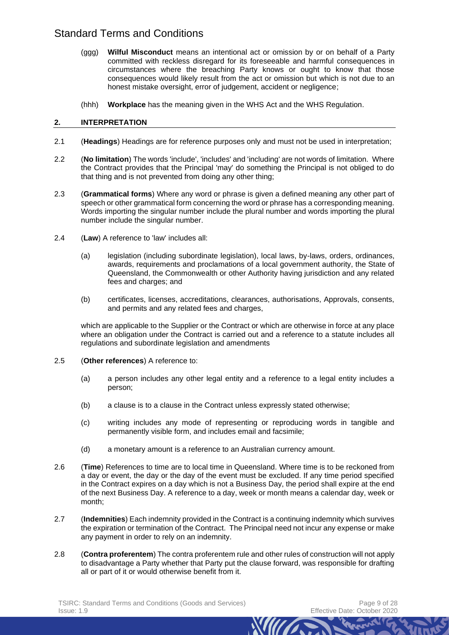- (ggg) **Wilful Misconduct** means an intentional act or omission by or on behalf of a Party committed with reckless disregard for its foreseeable and harmful consequences in circumstances where the breaching Party knows or ought to know that those consequences would likely result from the act or omission but which is not due to an honest mistake oversight, error of judgement, accident or negligence;
- (hhh) **Workplace** has the meaning given in the WHS Act and the WHS Regulation.

## **2. INTERPRETATION**

- 2.1 (**Headings**) Headings are for reference purposes only and must not be used in interpretation;
- 2.2 (**No limitation**) The words 'include', 'includes' and 'including' are not words of limitation. Where the Contract provides that the Principal 'may' do something the Principal is not obliged to do that thing and is not prevented from doing any other thing;
- 2.3 (**Grammatical forms**) Where any word or phrase is given a defined meaning any other part of speech or other grammatical form concerning the word or phrase has a corresponding meaning. Words importing the singular number include the plural number and words importing the plural number include the singular number.
- 2.4 (**Law**) A reference to 'law' includes all:
	- (a) legislation (including subordinate legislation), local laws, by-laws, orders, ordinances, awards, requirements and proclamations of a local government authority, the State of Queensland, the Commonwealth or other Authority having jurisdiction and any related fees and charges; and
	- (b) certificates, licenses, accreditations, clearances, authorisations, Approvals, consents, and permits and any related fees and charges,

which are applicable to the Supplier or the Contract or which are otherwise in force at any place where an obligation under the Contract is carried out and a reference to a statute includes all regulations and subordinate legislation and amendments

- 2.5 (**Other references**) A reference to:
	- (a) a person includes any other legal entity and a reference to a legal entity includes a person;
	- (b) a clause is to a clause in the Contract unless expressly stated otherwise;
	- (c) writing includes any mode of representing or reproducing words in tangible and permanently visible form, and includes email and facsimile;
	- (d) a monetary amount is a reference to an Australian currency amount.
- 2.6 (**Time**) References to time are to local time in Queensland. Where time is to be reckoned from a day or event, the day or the day of the event must be excluded. If any time period specified in the Contract expires on a day which is not a Business Day, the period shall expire at the end of the next Business Day. A reference to a day, week or month means a calendar day, week or month;
- 2.7 (**Indemnities**) Each indemnity provided in the Contract is a continuing indemnity which survives the expiration or termination of the Contract. The Principal need not incur any expense or make any payment in order to rely on an indemnity.
- 2.8 (**Contra proferentem**) The contra proferentem rule and other rules of construction will not apply to disadvantage a Party whether that Party put the clause forward, was responsible for drafting all or part of it or would otherwise benefit from it.

*MIITA*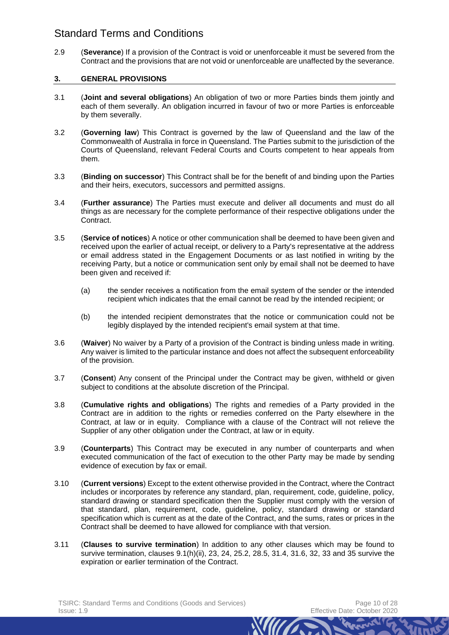2.9 (**Severance**) If a provision of the Contract is void or unenforceable it must be severed from the Contract and the provisions that are not void or unenforceable are unaffected by the severance.

## **3. GENERAL PROVISIONS**

- 3.1 (**Joint and several obligations**) An obligation of two or more Parties binds them jointly and each of them severally. An obligation incurred in favour of two or more Parties is enforceable by them severally.
- 3.2 (**Governing law**) This Contract is governed by the law of Queensland and the law of the Commonwealth of Australia in force in Queensland. The Parties submit to the jurisdiction of the Courts of Queensland, relevant Federal Courts and Courts competent to hear appeals from them.
- 3.3 (**Binding on successor**) This Contract shall be for the benefit of and binding upon the Parties and their heirs, executors, successors and permitted assigns.
- 3.4 (**Further assurance**) The Parties must execute and deliver all documents and must do all things as are necessary for the complete performance of their respective obligations under the Contract.
- 3.5 (**Service of notices**) A notice or other communication shall be deemed to have been given and received upon the earlier of actual receipt, or delivery to a Party's representative at the address or email address stated in the Engagement Documents or as last notified in writing by the receiving Party, but a notice or communication sent only by email shall not be deemed to have been given and received if:
	- (a) the sender receives a notification from the email system of the sender or the intended recipient which indicates that the email cannot be read by the intended recipient; or
	- (b) the intended recipient demonstrates that the notice or communication could not be legibly displayed by the intended recipient's email system at that time.
- 3.6 (**Waiver**) No waiver by a Party of a provision of the Contract is binding unless made in writing. Any waiver is limited to the particular instance and does not affect the subsequent enforceability of the provision.
- 3.7 (**Consent**) Any consent of the Principal under the Contract may be given, withheld or given subject to conditions at the absolute discretion of the Principal.
- 3.8 (**Cumulative rights and obligations**) The rights and remedies of a Party provided in the Contract are in addition to the rights or remedies conferred on the Party elsewhere in the Contract, at law or in equity. Compliance with a clause of the Contract will not relieve the Supplier of any other obligation under the Contract, at law or in equity.
- 3.9 (**Counterparts**) This Contract may be executed in any number of counterparts and when executed communication of the fact of execution to the other Party may be made by sending evidence of execution by fax or email.
- 3.10 (**Current versions**) Except to the extent otherwise provided in the Contract, where the Contract includes or incorporates by reference any standard, plan, requirement, code, guideline, policy, standard drawing or standard specification then the Supplier must comply with the version of that standard, plan, requirement, code, guideline, policy, standard drawing or standard specification which is current as at the date of the Contract, and the sums, rates or prices in the Contract shall be deemed to have allowed for compliance with that version.
- 3.11 (**Clauses to survive termination**) In addition to any other clauses which may be found to survive termination, clauses [9.1\(h\)\(ii\),](#page-12-0) [23,](#page-19-0) [24,](#page-20-0) [25.2,](#page-21-0) [28.5,](#page-23-1) [31.4,](#page-24-0) [31.6,](#page-25-1) [32,](#page-25-0) [33](#page-25-2) and [35](#page-26-0) survive the expiration or earlier termination of the Contract.

*Mun*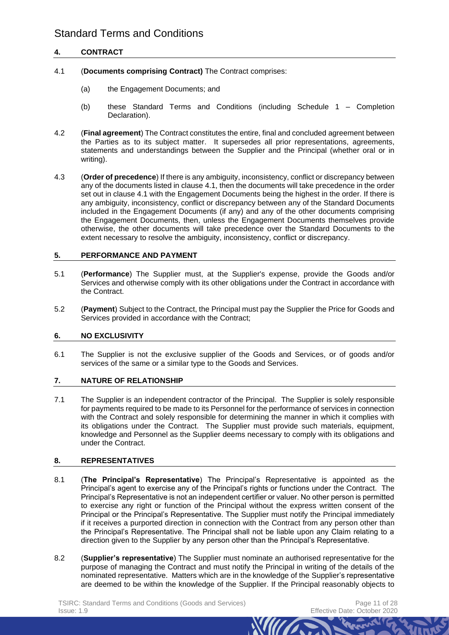# **4. CONTRACT**

- <span id="page-10-0"></span>4.1 (**Documents comprising Contract)** The Contract comprises:
	- (a) the Engagement Documents; and
	- (b) these Standard Terms and Conditions (including Schedule 1 Completion Declaration).
- 4.2 (**Final agreement**) The Contract constitutes the entire, final and concluded agreement between the Parties as to its subject matter. It supersedes all prior representations, agreements, statements and understandings between the Supplier and the Principal (whether oral or in writing).
- 4.3 (**Order of precedence**) If there is any ambiguity, inconsistency, conflict or discrepancy between any of the documents listed in clause [4.1,](#page-10-0) then the documents will take precedence in the order set out in clause [4.1](#page-10-0) with the Engagement Documents being the highest in the order. If there is any ambiguity, inconsistency, conflict or discrepancy between any of the Standard Documents included in the Engagement Documents (if any) and any of the other documents comprising the Engagement Documents, then, unless the Engagement Documents themselves provide otherwise, the other documents will take precedence over the Standard Documents to the extent necessary to resolve the ambiguity, inconsistency, conflict or discrepancy.

## **5. PERFORMANCE AND PAYMENT**

- 5.1 (**Performance**) The Supplier must, at the Supplier's expense, provide the Goods and/or Services and otherwise comply with its other obligations under the Contract in accordance with the Contract.
- 5.2 (**Payment**) Subject to the Contract, the Principal must pay the Supplier the Price for Goods and Services provided in accordance with the Contract;

# **6. NO EXCLUSIVITY**

6.1 The Supplier is not the exclusive supplier of the Goods and Services, or of goods and/or services of the same or a similar type to the Goods and Services.

# **7. NATURE OF RELATIONSHIP**

7.1 The Supplier is an independent contractor of the Principal. The Supplier is solely responsible for payments required to be made to its Personnel for the performance of services in connection with the Contract and solely responsible for determining the manner in which it complies with its obligations under the Contract. The Supplier must provide such materials, equipment, knowledge and Personnel as the Supplier deems necessary to comply with its obligations and under the Contract.

## **8. REPRESENTATIVES**

- 8.1 (**The Principal's Representative**) The Principal's Representative is appointed as the Principal's agent to exercise any of the Principal's rights or functions under the Contract. The Principal's Representative is not an independent certifier or valuer. No other person is permitted to exercise any right or function of the Principal without the express written consent of the Principal or the Principal's Representative. The Supplier must notify the Principal immediately if it receives a purported direction in connection with the Contract from any person other than the Principal's Representative. The Principal shall not be liable upon any Claim relating to a direction given to the Supplier by any person other than the Principal's Representative.
- 8.2 (**Supplier's representative**) The Supplier must nominate an authorised representative for the purpose of managing the Contract and must notify the Principal in writing of the details of the nominated representative. Matters which are in the knowledge of the Supplier's representative are deemed to be within the knowledge of the Supplier. If the Principal reasonably objects to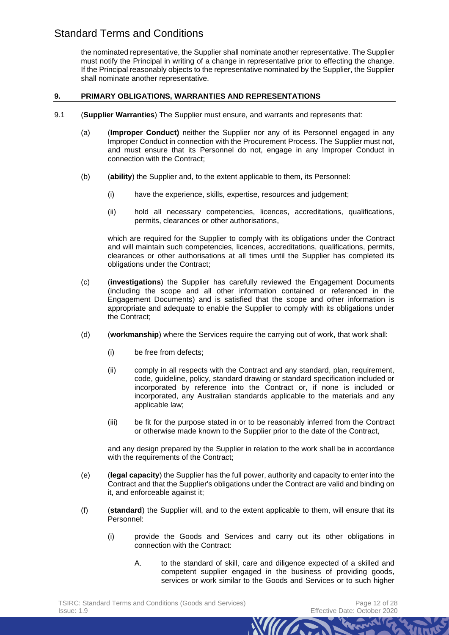the nominated representative, the Supplier shall nominate another representative. The Supplier must notify the Principal in writing of a change in representative prior to effecting the change. If the Principal reasonably objects to the representative nominated by the Supplier, the Supplier shall nominate another representative.

## **9. PRIMARY OBLIGATIONS, WARRANTIES AND REPRESENTATIONS**

- <span id="page-11-2"></span><span id="page-11-1"></span><span id="page-11-0"></span>9.1 (**Supplier Warranties**) The Supplier must ensure, and warrants and represents that:
	- (a) (**Improper Conduct)** neither the Supplier nor any of its Personnel engaged in any Improper Conduct in connection with the Procurement Process. The Supplier must not, and must ensure that its Personnel do not, engage in any Improper Conduct in connection with the Contract;
	- (b) (**ability**) the Supplier and, to the extent applicable to them, its Personnel:
		- (i) have the experience, skills, expertise, resources and judgement;
		- (ii) hold all necessary competencies, licences, accreditations, qualifications, permits, clearances or other authorisations,

which are required for the Supplier to comply with its obligations under the Contract and will maintain such competencies, licences, accreditations, qualifications, permits, clearances or other authorisations at all times until the Supplier has completed its obligations under the Contract;

- (c) (**investigations**) the Supplier has carefully reviewed the Engagement Documents (including the scope and all other information contained or referenced in the Engagement Documents) and is satisfied that the scope and other information is appropriate and adequate to enable the Supplier to comply with its obligations under the Contract;
- (d) (**workmanship**) where the Services require the carrying out of work, that work shall:
	- (i) be free from defects;
	- (ii) comply in all respects with the Contract and any standard, plan, requirement, code, guideline, policy, standard drawing or standard specification included or incorporated by reference into the Contract or, if none is included or incorporated, any Australian standards applicable to the materials and any applicable law;
	- (iii) be fit for the purpose stated in or to be reasonably inferred from the Contract or otherwise made known to the Supplier prior to the date of the Contract,

and any design prepared by the Supplier in relation to the work shall be in accordance with the requirements of the Contract;

- (e) (**legal capacity**) the Supplier has the full power, authority and capacity to enter into the Contract and that the Supplier's obligations under the Contract are valid and binding on it, and enforceable against it;
- (f) (**standard**) the Supplier will, and to the extent applicable to them, will ensure that its Personnel:
	- (i) provide the Goods and Services and carry out its other obligations in connection with the Contract:
		- A. to the standard of skill, care and diligence expected of a skilled and competent supplier engaged in the business of providing goods, services or work similar to the Goods and Services or to such higher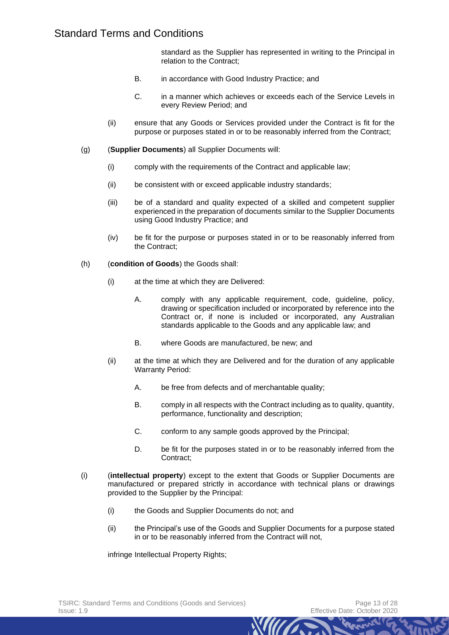standard as the Supplier has represented in writing to the Principal in relation to the Contract;

- B. in accordance with Good Industry Practice; and
- C. in a manner which achieves or exceeds each of the Service Levels in every Review Period; and
- (ii) ensure that any Goods or Services provided under the Contract is fit for the purpose or purposes stated in or to be reasonably inferred from the Contract;
- (g) (**Supplier Documents**) all Supplier Documents will:
	- (i) comply with the requirements of the Contract and applicable law;
	- (ii) be consistent with or exceed applicable industry standards;
	- (iii) be of a standard and quality expected of a skilled and competent supplier experienced in the preparation of documents similar to the Supplier Documents using Good Industry Practice; and
	- (iv) be fit for the purpose or purposes stated in or to be reasonably inferred from the Contract;
- <span id="page-12-0"></span>(h) (**condition of Goods**) the Goods shall:
	- (i) at the time at which they are Delivered:
		- A. comply with any applicable requirement, code, guideline, policy, drawing or specification included or incorporated by reference into the Contract or, if none is included or incorporated, any Australian standards applicable to the Goods and any applicable law; and
		- B. where Goods are manufactured, be new; and
	- (ii) at the time at which they are Delivered and for the duration of any applicable Warranty Period:
		- A. be free from defects and of merchantable quality;
		- B. comply in all respects with the Contract including as to quality, quantity, performance, functionality and description;
		- C. conform to any sample goods approved by the Principal;
		- D. be fit for the purposes stated in or to be reasonably inferred from the Contract;
- (i) (**intellectual property**) except to the extent that Goods or Supplier Documents are manufactured or prepared strictly in accordance with technical plans or drawings provided to the Supplier by the Principal:
	- (i) the Goods and Supplier Documents do not; and
	- (ii) the Principal's use of the Goods and Supplier Documents for a purpose stated in or to be reasonably inferred from the Contract will not,

*NIMA* 

infringe Intellectual Property Rights;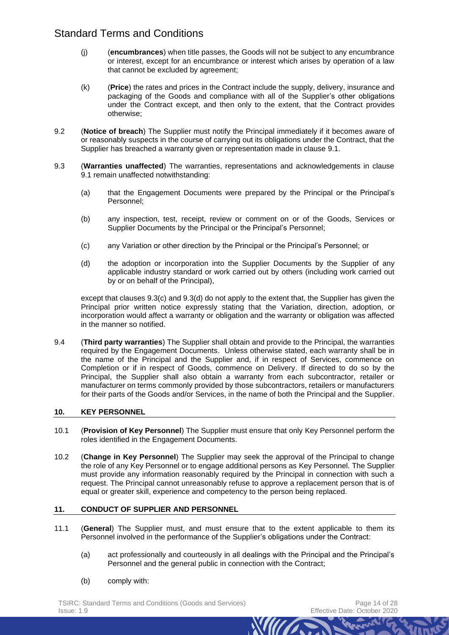- (j) (**encumbrances**) when title passes, the Goods will not be subject to any encumbrance or interest, except for an encumbrance or interest which arises by operation of a law that cannot be excluded by agreement;
- (k) (**Price**) the rates and prices in the Contract include the supply, delivery, insurance and packaging of the Goods and compliance with all of the Supplier's other obligations under the Contract except, and then only to the extent, that the Contract provides otherwise;
- 9.2 (**Notice of breach**) The Supplier must notify the Principal immediately if it becomes aware of or reasonably suspects in the course of carrying out its obligations under the Contract, that the Supplier has breached a warranty given or representation made in clause [9.1.](#page-11-0)
- 9.3 (**Warranties unaffected**) The warranties, representations and acknowledgements in clause [9.1](#page-11-0) remain unaffected notwithstanding:
	- (a) that the Engagement Documents were prepared by the Principal or the Principal's Personnel;
	- (b) any inspection, test, receipt, review or comment on or of the Goods, Services or Supplier Documents by the Principal or the Principal's Personnel;
	- (c) any Variation or other direction by the Principal or the Principal's Personnel; or
	- (d) the adoption or incorporation into the Supplier Documents by the Supplier of any applicable industry standard or work carried out by others (including work carried out by or on behalf of the Principal),

<span id="page-13-1"></span><span id="page-13-0"></span>except that clauses [9.3\(c\)](#page-13-0) and [9.3\(d\)](#page-13-1) do not apply to the extent that, the Supplier has given the Principal prior written notice expressly stating that the Variation, direction, adoption, or incorporation would affect a warranty or obligation and the warranty or obligation was affected in the manner so notified.

9.4 (**Third party warranties**) The Supplier shall obtain and provide to the Principal, the warranties required by the Engagement Documents. Unless otherwise stated, each warranty shall be in the name of the Principal and the Supplier and, if in respect of Services, commence on Completion or if in respect of Goods, commence on Delivery. If directed to do so by the Principal, the Supplier shall also obtain a warranty from each subcontractor, retailer or manufacturer on terms commonly provided by those subcontractors, retailers or manufacturers for their parts of the Goods and/or Services, in the name of both the Principal and the Supplier.

## **10. KEY PERSONNEL**

- 10.1 (**Provision of Key Personnel**) The Supplier must ensure that only Key Personnel perform the roles identified in the Engagement Documents.
- 10.2 (**Change in Key Personnel**) The Supplier may seek the approval of the Principal to change the role of any Key Personnel or to engage additional persons as Key Personnel. The Supplier must provide any information reasonably required by the Principal in connection with such a request. The Principal cannot unreasonably refuse to approve a replacement person that is of equal or greater skill, experience and competency to the person being replaced.

## **11. CONDUCT OF SUPPLIER AND PERSONNEL**

- <span id="page-13-2"></span>11.1 (**General**) The Supplier must, and must ensure that to the extent applicable to them its Personnel involved in the performance of the Supplier's obligations under the Contract:
	- (a) act professionally and courteously in all dealings with the Principal and the Principal's Personnel and the general public in connection with the Contract;

*Mun* 

(b) comply with:

TSIRC: Standard Terms and Conditions (Goods and Services) example the example of 28 Issue: 1.9 Effective Date: October 2020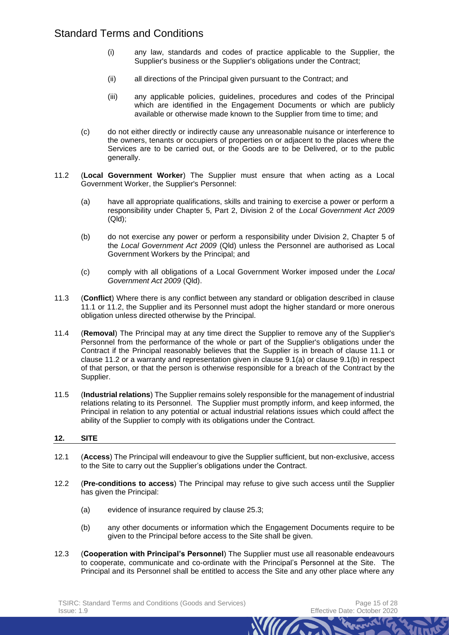- (i) any law, standards and codes of practice applicable to the Supplier, the Supplier's business or the Supplier's obligations under the Contract;
- (ii) all directions of the Principal given pursuant to the Contract; and
- <span id="page-14-0"></span>(iii) any applicable policies, guidelines, procedures and codes of the Principal which are identified in the Engagement Documents or which are publicly available or otherwise made known to the Supplier from time to time; and
- (c) do not either directly or indirectly cause any unreasonable nuisance or interference to the owners, tenants or occupiers of properties on or adjacent to the places where the Services are to be carried out, or the Goods are to be Delivered, or to the public generally.
- <span id="page-14-1"></span>11.2 (**Local Government Worker**) The Supplier must ensure that when acting as a Local Government Worker, the Supplier's Personnel:
	- (a) have all appropriate qualifications, skills and training to exercise a power or perform a responsibility under Chapter 5, Part 2, Division 2 of the *Local Government Act 2009* (Qld);
	- (b) do not exercise any power or perform a responsibility under Division 2, Chapter 5 of the *Local Government Act 2009* (Qld) unless the Personnel are authorised as Local Government Workers by the Principal; and
	- (c) comply with all obligations of a Local Government Worker imposed under the *Local Government Act 2009* (Qld).
- 11.3 (**Conflict**) Where there is any conflict between any standard or obligation described in clause [11.1](#page-13-2) or [11.2,](#page-14-0) the Supplier and its Personnel must adopt the higher standard or more onerous obligation unless directed otherwise by the Principal.
- 11.4 (**Removal**) The Principal may at any time direct the Supplier to remove any of the Supplier's Personnel from the performance of the whole or part of the Supplier's obligations under the Contract if the Principal reasonably believes that the Supplier is in breach of clause [11.1](#page-13-2) or clause [11.2](#page-14-1) or a warranty and representation given in clause [9.1\(a\)](#page-11-1) or clause [9.1\(b\)](#page-11-2) in respect of that person, or that the person is otherwise responsible for a breach of the Contract by the Supplier.
- 11.5 (**Industrial relations**) The Supplier remains solely responsible for the management of industrial relations relating to its Personnel. The Supplier must promptly inform, and keep informed, the Principal in relation to any potential or actual industrial relations issues which could affect the ability of the Supplier to comply with its obligations under the Contract.

# **12. SITE**

- 12.1 (**Access**) The Principal will endeavour to give the Supplier sufficient, but non-exclusive, access to the Site to carry out the Supplier's obligations under the Contract.
- 12.2 (**Pre-conditions to access**) The Principal may refuse to give such access until the Supplier has given the Principal:
	- (a) evidence of insurance required by clause [25.3;](#page-21-1)
	- (b) any other documents or information which the Engagement Documents require to be given to the Principal before access to the Site shall be given.
- 12.3 (**Cooperation with Principal's Personnel**) The Supplier must use all reasonable endeavours to cooperate, communicate and co-ordinate with the Principal's Personnel at the Site. The Principal and its Personnel shall be entitled to access the Site and any other place where any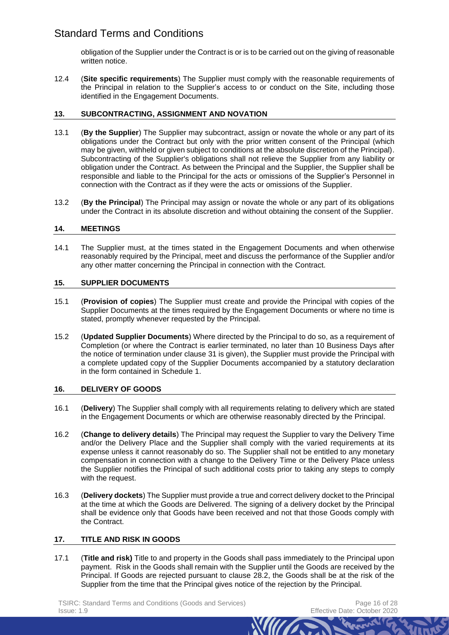obligation of the Supplier under the Contract is or is to be carried out on the giving of reasonable written notice.

12.4 (**Site specific requirements**) The Supplier must comply with the reasonable requirements of the Principal in relation to the Supplier's access to or conduct on the Site, including those identified in the Engagement Documents.

## **13. SUBCONTRACTING, ASSIGNMENT AND NOVATION**

- 13.1 (**By the Supplier**) The Supplier may subcontract, assign or novate the whole or any part of its obligations under the Contract but only with the prior written consent of the Principal (which may be given, withheld or given subject to conditions at the absolute discretion of the Principal). Subcontracting of the Supplier's obligations shall not relieve the Supplier from any liability or obligation under the Contract. As between the Principal and the Supplier, the Supplier shall be responsible and liable to the Principal for the acts or omissions of the Supplier's Personnel in connection with the Contract as if they were the acts or omissions of the Supplier.
- 13.2 (**By the Principal**) The Principal may assign or novate the whole or any part of its obligations under the Contract in its absolute discretion and without obtaining the consent of the Supplier.

## **14. MEETINGS**

14.1 The Supplier must, at the times stated in the Engagement Documents and when otherwise reasonably required by the Principal, meet and discuss the performance of the Supplier and/or any other matter concerning the Principal in connection with the Contract.

## **15. SUPPLIER DOCUMENTS**

- 15.1 (**Provision of copies**) The Supplier must create and provide the Principal with copies of the Supplier Documents at the times required by the Engagement Documents or where no time is stated, promptly whenever requested by the Principal.
- 15.2 (**Updated Supplier Documents**) Where directed by the Principal to do so, as a requirement of Completion (or where the Contract is earlier terminated, no later than 10 Business Days after the notice of termination under clause [31](#page-24-1) is given), the Supplier must provide the Principal with a complete updated copy of the Supplier Documents accompanied by a statutory declaration in the form contained in Schedule 1.

## **16. DELIVERY OF GOODS**

- 16.1 (**Delivery**) The Supplier shall comply with all requirements relating to delivery which are stated in the Engagement Documents or which are otherwise reasonably directed by the Principal.
- 16.2 (**Change to delivery details**) The Principal may request the Supplier to vary the Delivery Time and/or the Delivery Place and the Supplier shall comply with the varied requirements at its expense unless it cannot reasonably do so. The Supplier shall not be entitled to any monetary compensation in connection with a change to the Delivery Time or the Delivery Place unless the Supplier notifies the Principal of such additional costs prior to taking any steps to comply with the request.
- 16.3 (**Delivery dockets**) The Supplier must provide a true and correct delivery docket to the Principal at the time at which the Goods are Delivered. The signing of a delivery docket by the Principal shall be evidence only that Goods have been received and not that those Goods comply with the Contract.

## **17. TITLE AND RISK IN GOODS**

17.1 (**Title and risk)** Title to and property in the Goods shall pass immediately to the Principal upon payment. Risk in the Goods shall remain with the Supplier until the Goods are received by the Principal. If Goods are rejected pursuant to clause [28.2,](#page-22-0) the Goods shall be at the risk of the Supplier from the time that the Principal gives notice of the rejection by the Principal.

TSIRC: Standard Terms and Conditions (Goods and Services) example and the Page 16 of 28 Issue: 1.9 Effective Date: October 2020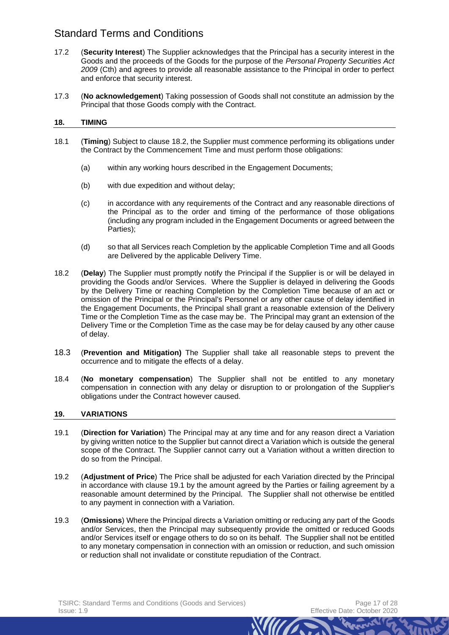- 17.2 (**Security Interest**) The Supplier acknowledges that the Principal has a security interest in the Goods and the proceeds of the Goods for the purpose of the *Personal Property Securities Act 2009* (Cth) and agrees to provide all reasonable assistance to the Principal in order to perfect and enforce that security interest.
- 17.3 (**No acknowledgement**) Taking possession of Goods shall not constitute an admission by the Principal that those Goods comply with the Contract.

## **18. TIMING**

- 18.1 (**Timing**) Subject to clause [18.2,](#page-16-0) the Supplier must commence performing its obligations under the Contract by the Commencement Time and must perform those obligations:
	- (a) within any working hours described in the Engagement Documents;
	- (b) with due expedition and without delay;
	- (c) in accordance with any requirements of the Contract and any reasonable directions of the Principal as to the order and timing of the performance of those obligations (including any program included in the Engagement Documents or agreed between the Parties);
	- (d) so that all Services reach Completion by the applicable Completion Time and all Goods are Delivered by the applicable Delivery Time.
- <span id="page-16-0"></span>18.2 (**Delay**) The Supplier must promptly notify the Principal if the Supplier is or will be delayed in providing the Goods and/or Services. Where the Supplier is delayed in delivering the Goods by the Delivery Time or reaching Completion by the Completion Time because of an act or omission of the Principal or the Principal's Personnel or any other cause of delay identified in the Engagement Documents, the Principal shall grant a reasonable extension of the Delivery Time or the Completion Time as the case may be. The Principal may grant an extension of the Delivery Time or the Completion Time as the case may be for delay caused by any other cause of delay.
- 18.3 (**Prevention and Mitigation)** The Supplier shall take all reasonable steps to prevent the occurrence and to mitigate the effects of a delay.
- 18.4 (**No monetary compensation**) The Supplier shall not be entitled to any monetary compensation in connection with any delay or disruption to or prolongation of the Supplier's obligations under the Contract however caused.

## **19. VARIATIONS**

- <span id="page-16-1"></span>19.1 (**Direction for Variation**) The Principal may at any time and for any reason direct a Variation by giving written notice to the Supplier but cannot direct a Variation which is outside the general scope of the Contract. The Supplier cannot carry out a Variation without a written direction to do so from the Principal.
- 19.2 (**Adjustment of Price**) The Price shall be adjusted for each Variation directed by the Principal in accordance with clause [19.1](#page-16-1) by the amount agreed by the Parties or failing agreement by a reasonable amount determined by the Principal. The Supplier shall not otherwise be entitled to any payment in connection with a Variation.
- 19.3 (**Omissions**) Where the Principal directs a Variation omitting or reducing any part of the Goods and/or Services, then the Principal may subsequently provide the omitted or reduced Goods and/or Services itself or engage others to do so on its behalf. The Supplier shall not be entitled to any monetary compensation in connection with an omission or reduction, and such omission or reduction shall not invalidate or constitute repudiation of the Contract.

*Mun*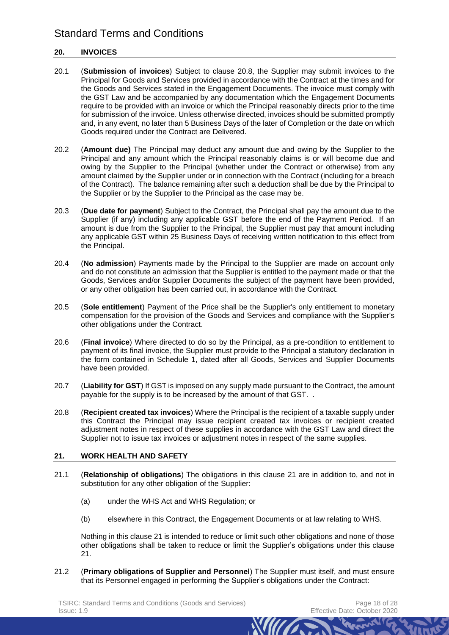## **20. INVOICES**

- 20.1 (**Submission of invoices**) Subject to clause [20.8,](#page-17-1) the Supplier may submit invoices to the Principal for Goods and Services provided in accordance with the Contract at the times and for the Goods and Services stated in the Engagement Documents. The invoice must comply with the GST Law and be accompanied by any documentation which the Engagement Documents require to be provided with an invoice or which the Principal reasonably directs prior to the time for submission of the invoice. Unless otherwise directed, invoices should be submitted promptly and, in any event, no later than 5 Business Days of the later of Completion or the date on which Goods required under the Contract are Delivered.
- 20.2 (**Amount due)** The Principal may deduct any amount due and owing by the Supplier to the Principal and any amount which the Principal reasonably claims is or will become due and owing by the Supplier to the Principal (whether under the Contract or otherwise) from any amount claimed by the Supplier under or in connection with the Contract (including for a breach of the Contract). The balance remaining after such a deduction shall be due by the Principal to the Supplier or by the Supplier to the Principal as the case may be.
- 20.3 (**Due date for payment**) Subject to the Contract, the Principal shall pay the amount due to the Supplier (if any) including any applicable GST before the end of the Payment Period. If an amount is due from the Supplier to the Principal, the Supplier must pay that amount including any applicable GST within 25 Business Days of receiving written notification to this effect from the Principal.
- 20.4 (**No admission**) Payments made by the Principal to the Supplier are made on account only and do not constitute an admission that the Supplier is entitled to the payment made or that the Goods, Services and/or Supplier Documents the subject of the payment have been provided, or any other obligation has been carried out, in accordance with the Contract.
- 20.5 (**Sole entitlement**) Payment of the Price shall be the Supplier's only entitlement to monetary compensation for the provision of the Goods and Services and compliance with the Supplier's other obligations under the Contract.
- 20.6 (**Final invoice**) Where directed to do so by the Principal, as a pre-condition to entitlement to payment of its final invoice, the Supplier must provide to the Principal a statutory declaration in the form contained in Schedule 1, dated after all Goods, Services and Supplier Documents have been provided.
- 20.7 (**Liability for GST**) If GST is imposed on any supply made pursuant to the Contract, the amount payable for the supply is to be increased by the amount of that GST. .
- <span id="page-17-1"></span>20.8 (**Recipient created tax invoices**) Where the Principal is the recipient of a taxable supply under this Contract the Principal may issue recipient created tax invoices or recipient created adjustment notes in respect of these supplies in accordance with the GST Law and direct the Supplier not to issue tax invoices or adjustment notes in respect of the same supplies.

## <span id="page-17-0"></span>**21. WORK HEALTH AND SAFETY**

- 21.1 (**Relationship of obligations**) The obligations in this clause [21](#page-17-0) are in addition to, and not in substitution for any other obligation of the Supplier:
	- (a) under the WHS Act and WHS Regulation; or
	- (b) elsewhere in this Contract, the Engagement Documents or at law relating to WHS.

Nothing in this clause [21](#page-17-0) is intended to reduce or limit such other obligations and none of those other obligations shall be taken to reduce or limit the Supplier's obligations under this clause [21.](#page-17-0)

*NIMA* 

21.2 (**Primary obligations of Supplier and Personnel**) The Supplier must itself, and must ensure that its Personnel engaged in performing the Supplier's obligations under the Contract: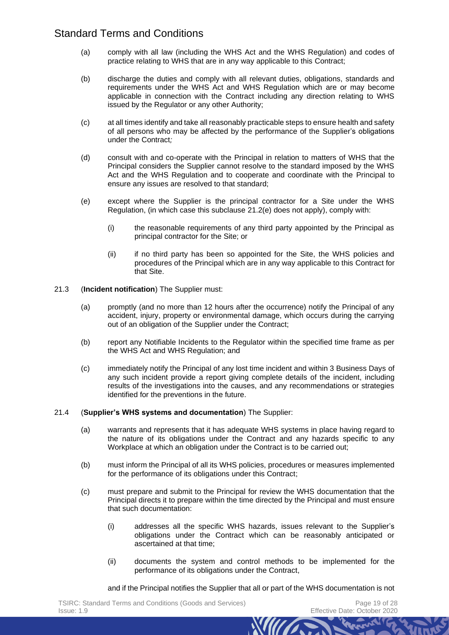- (a) comply with all law (including the WHS Act and the WHS Regulation) and codes of practice relating to WHS that are in any way applicable to this Contract;
- (b) discharge the duties and comply with all relevant duties, obligations, standards and requirements under the WHS Act and WHS Regulation which are or may become applicable in connection with the Contract including any direction relating to WHS issued by the Regulator or any other Authority;
- (c) at all times identify and take all reasonably practicable steps to ensure health and safety of all persons who may be affected by the performance of the Supplier's obligations under the Contract*;*
- (d) consult with and co-operate with the Principal in relation to matters of WHS that the Principal considers the Supplier cannot resolve to the standard imposed by the WHS Act and the WHS Regulation and to cooperate and coordinate with the Principal to ensure any issues are resolved to that standard;
- <span id="page-18-0"></span>(e) except where the Supplier is the principal contractor for a Site under the WHS Regulation, (in which case this subclause [21.2\(e\)](#page-18-0) does not apply), comply with:
	- (i) the reasonable requirements of any third party appointed by the Principal as principal contractor for the Site; or
	- (ii) if no third party has been so appointed for the Site, the WHS policies and procedures of the Principal which are in any way applicable to this Contract for that Site.

## 21.3 (**Incident notification**) The Supplier must:

- (a) promptly (and no more than 12 hours after the occurrence) notify the Principal of any accident, injury, property or environmental damage, which occurs during the carrying out of an obligation of the Supplier under the Contract;
- (b) report any Notifiable Incidents to the Regulator within the specified time frame as per the WHS Act and WHS Regulation; and
- (c) immediately notify the Principal of any lost time incident and within 3 Business Days of any such incident provide a report giving complete details of the incident, including results of the investigations into the causes, and any recommendations or strategies identified for the preventions in the future.

## 21.4 (**Supplier's WHS systems and documentation**) The Supplier:

- (a) warrants and represents that it has adequate WHS systems in place having regard to the nature of its obligations under the Contract and any hazards specific to any Workplace at which an obligation under the Contract is to be carried out;
- (b) must inform the Principal of all its WHS policies, procedures or measures implemented for the performance of its obligations under this Contract;
- (c) must prepare and submit to the Principal for review the WHS documentation that the Principal directs it to prepare within the time directed by the Principal and must ensure that such documentation:
	- (i) addresses all the specific WHS hazards, issues relevant to the Supplier's obligations under the Contract which can be reasonably anticipated or ascertained at that time;
	- (ii) documents the system and control methods to be implemented for the performance of its obligations under the Contract,

and if the Principal notifies the Supplier that all or part of the WHS documentation is not

*MITT*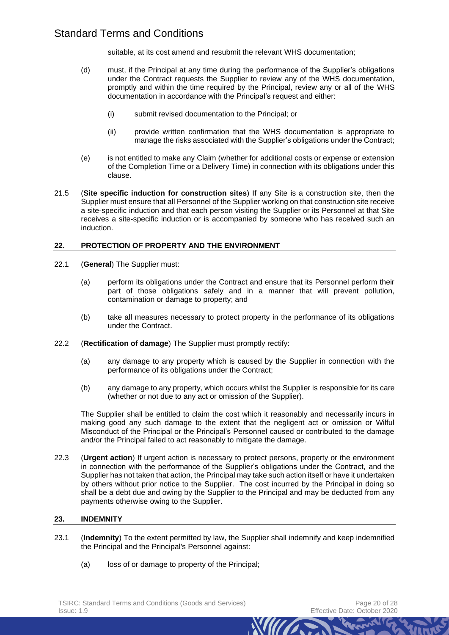suitable, at its cost amend and resubmit the relevant WHS documentation;

- (d) must, if the Principal at any time during the performance of the Supplier's obligations under the Contract requests the Supplier to review any of the WHS documentation, promptly and within the time required by the Principal, review any or all of the WHS documentation in accordance with the Principal's request and either:
	- (i) submit revised documentation to the Principal; or
	- (ii) provide written confirmation that the WHS documentation is appropriate to manage the risks associated with the Supplier's obligations under the Contract;
- (e) is not entitled to make any Claim (whether for additional costs or expense or extension of the Completion Time or a Delivery Time) in connection with its obligations under this clause.
- 21.5 (**Site specific induction for construction sites**) If any Site is a construction site, then the Supplier must ensure that all Personnel of the Supplier working on that construction site receive a site-specific induction and that each person visiting the Supplier or its Personnel at that Site receives a site-specific induction or is accompanied by someone who has received such an induction.

## **22. PROTECTION OF PROPERTY AND THE ENVIRONMENT**

- <span id="page-19-1"></span>22.1 (**General**) The Supplier must:
	- (a) perform its obligations under the Contract and ensure that its Personnel perform their part of those obligations safely and in a manner that will prevent pollution, contamination or damage to property; and
	- (b) take all measures necessary to protect property in the performance of its obligations under the Contract.
- 22.2 (**Rectification of damage**) The Supplier must promptly rectify:
	- (a) any damage to any property which is caused by the Supplier in connection with the performance of its obligations under the Contract;
	- (b) any damage to any property, which occurs whilst the Supplier is responsible for its care (whether or not due to any act or omission of the Supplier).

The Supplier shall be entitled to claim the cost which it reasonably and necessarily incurs in making good any such damage to the extent that the negligent act or omission or Wilful Misconduct of the Principal or the Principal's Personnel caused or contributed to the damage and/or the Principal failed to act reasonably to mitigate the damage.

22.3 (**Urgent action**) If urgent action is necessary to protect persons, property or the environment in connection with the performance of the Supplier's obligations under the Contract, and the Supplier has not taken that action, the Principal may take such action itself or have it undertaken by others without prior notice to the Supplier. The cost incurred by the Principal in doing so shall be a debt due and owing by the Supplier to the Principal and may be deducted from any payments otherwise owing to the Supplier.

## <span id="page-19-0"></span>**23. INDEMNITY**

<span id="page-19-2"></span>23.1 (**Indemnity**) To the extent permitted by law, the Supplier shall indemnify and keep indemnified the Principal and the Principal's Personnel against:

*MITT* 

(a) loss of or damage to property of the Principal;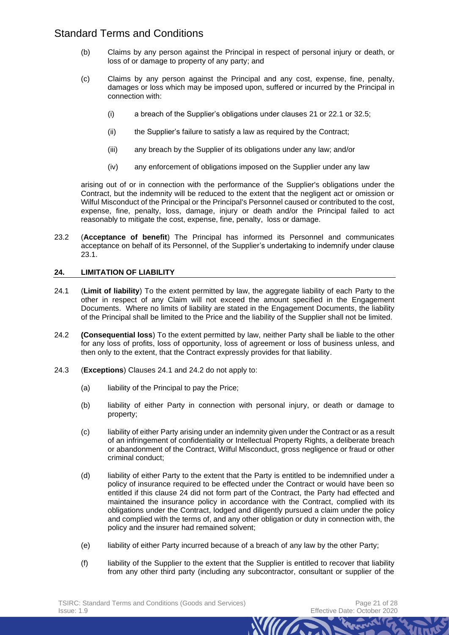- (b) Claims by any person against the Principal in respect of personal injury or death, or loss of or damage to property of any party; and
- (c) Claims by any person against the Principal and any cost, expense, fine, penalty, damages or loss which may be imposed upon, suffered or incurred by the Principal in connection with:
	- (i) a breach of the Supplier's obligations under clauses [21](#page-17-0) o[r 22.1](#page-19-1) or [32.5;](#page-25-3)
	- (ii) the Supplier's failure to satisfy a law as required by the Contract;
	- (iii) any breach by the Supplier of its obligations under any law; and/or
	- (iv) any enforcement of obligations imposed on the Supplier under any law

arising out of or in connection with the performance of the Supplier's obligations under the Contract, but the indemnity will be reduced to the extent that the negligent act or omission or Wilful Misconduct of the Principal or the Principal's Personnel caused or contributed to the cost, expense, fine, penalty, loss, damage, injury or death and/or the Principal failed to act reasonably to mitigate the cost, expense, fine, penalty, loss or damage.

23.2 (**Acceptance of benefit**) The Principal has informed its Personnel and communicates acceptance on behalf of its Personnel, of the Supplier's undertaking to indemnify under clause [23.1.](#page-19-2)

#### <span id="page-20-0"></span>**24. LIMITATION OF LIABILITY**

- <span id="page-20-1"></span>24.1 (**Limit of liability**) To the extent permitted by law, the aggregate liability of each Party to the other in respect of any Claim will not exceed the amount specified in the Engagement Documents. Where no limits of liability are stated in the Engagement Documents, the liability of the Principal shall be limited to the Price and the liability of the Supplier shall not be limited.
- <span id="page-20-2"></span>24.2 **(Consequential loss**) To the extent permitted by law, neither Party shall be liable to the other for any loss of profits, loss of opportunity, loss of agreement or loss of business unless, and then only to the extent, that the Contract expressly provides for that liability.
- <span id="page-20-8"></span><span id="page-20-7"></span><span id="page-20-6"></span><span id="page-20-5"></span><span id="page-20-4"></span><span id="page-20-3"></span>24.3 (**Exceptions**) Clauses [24.1](#page-20-1) and [24.2](#page-20-2) do not apply to:
	- (a) liability of the Principal to pay the Price:
	- (b) liability of either Party in connection with personal injury, or death or damage to property;
	- (c) liability of either Party arising under an indemnity given under the Contract or as a result of an infringement of confidentiality or Intellectual Property Rights, a deliberate breach or abandonment of the Contract, Wilful Misconduct, gross negligence or fraud or other criminal conduct;
	- (d) liability of either Party to the extent that the Party is entitled to be indemnified under a policy of insurance required to be effected under the Contract or would have been so entitled if this clause [24](#page-20-0) did not form part of the Contract, the Party had effected and maintained the insurance policy in accordance with the Contract, complied with its obligations under the Contract, lodged and diligently pursued a claim under the policy and complied with the terms of, and any other obligation or duty in connection with, the policy and the insurer had remained solvent;
	- (e) liability of either Party incurred because of a breach of any law by the other Party;
	- (f) liability of the Supplier to the extent that the Supplier is entitled to recover that liability from any other third party (including any subcontractor, consultant or supplier of the

*MITT*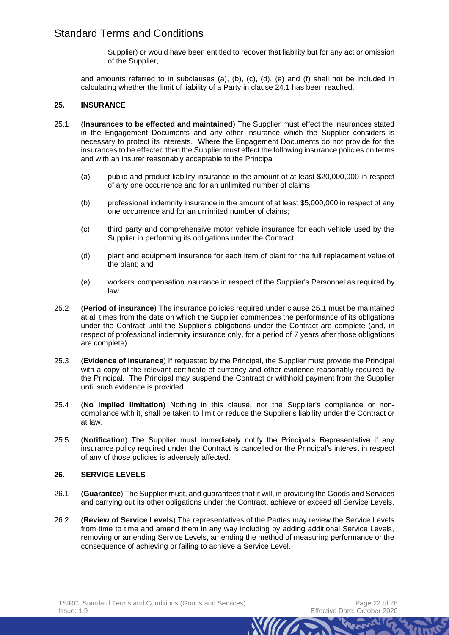Supplier) or would have been entitled to recover that liability but for any act or omission of the Supplier,

and amounts referred to in subclauses [\(a\),](#page-20-3) [\(b\),](#page-20-4) [\(c\),](#page-20-5) [\(d\),](#page-20-6) [\(e\)](#page-20-7) and [\(f\)](#page-20-8) shall not be included in calculating whether the limit of liability of a Party in clause [24.1](#page-20-1) has been reached.

#### **25. INSURANCE**

- <span id="page-21-2"></span>25.1 (**Insurances to be effected and maintained**) The Supplier must effect the insurances stated in the Engagement Documents and any other insurance which the Supplier considers is necessary to protect its interests. Where the Engagement Documents do not provide for the insurances to be effected then the Supplier must effect the following insurance policies on terms and with an insurer reasonably acceptable to the Principal:
	- (a) public and product liability insurance in the amount of at least \$20,000,000 in respect of any one occurrence and for an unlimited number of claims;
	- (b) professional indemnity insurance in the amount of at least \$5,000,000 in respect of any one occurrence and for an unlimited number of claims;
	- (c) third party and comprehensive motor vehicle insurance for each vehicle used by the Supplier in performing its obligations under the Contract;
	- (d) plant and equipment insurance for each item of plant for the full replacement value of the plant; and
	- (e) workers' compensation insurance in respect of the Supplier's Personnel as required by law.
- <span id="page-21-0"></span>25.2 (**Period of insurance**) The insurance policies required under clause [25.1](#page-21-2) must be maintained at all times from the date on which the Supplier commences the performance of its obligations under the Contract until the Supplier's obligations under the Contract are complete (and, in respect of professional indemnity insurance only, for a period of 7 years after those obligations are complete).
- <span id="page-21-1"></span>25.3 (**Evidence of insurance**) If requested by the Principal, the Supplier must provide the Principal with a copy of the relevant certificate of currency and other evidence reasonably required by the Principal. The Principal may suspend the Contract or withhold payment from the Supplier until such evidence is provided.
- 25.4 (**No implied limitation**) Nothing in this clause, nor the Supplier's compliance or noncompliance with it, shall be taken to limit or reduce the Supplier's liability under the Contract or at law.
- 25.5 (**Notification**) The Supplier must immediately notify the Principal's Representative if any insurance policy required under the Contract is cancelled or the Principal's interest in respect of any of those policies is adversely affected.

#### **26. SERVICE LEVELS**

- 26.1 (**Guarantee**) The Supplier must, and guarantees that it will, in providing the Goods and Services and carrying out its other obligations under the Contract, achieve or exceed all Service Levels.
- 26.2 (**Review of Service Levels**) The representatives of the Parties may review the Service Levels from time to time and amend them in any way including by adding additional Service Levels, removing or amending Service Levels, amending the method of measuring performance or the consequence of achieving or failing to achieve a Service Level.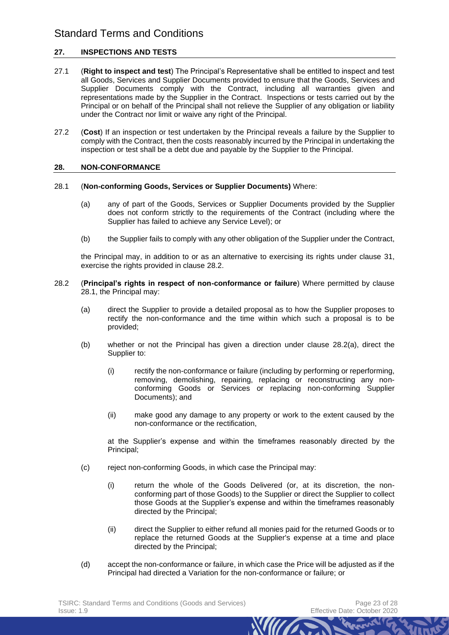## **27. INSPECTIONS AND TESTS**

- 27.1 (**Right to inspect and test**) The Principal's Representative shall be entitled to inspect and test all Goods, Services and Supplier Documents provided to ensure that the Goods, Services and Supplier Documents comply with the Contract, including all warranties given and representations made by the Supplier in the Contract. Inspections or tests carried out by the Principal or on behalf of the Principal shall not relieve the Supplier of any obligation or liability under the Contract nor limit or waive any right of the Principal.
- 27.2 (**Cost**) If an inspection or test undertaken by the Principal reveals a failure by the Supplier to comply with the Contract, then the costs reasonably incurred by the Principal in undertaking the inspection or test shall be a debt due and payable by the Supplier to the Principal.

#### <span id="page-22-3"></span>**28. NON-CONFORMANCE**

#### <span id="page-22-1"></span>28.1 (**Non-conforming Goods, Services or Supplier Documents)** Where:

- (a) any of part of the Goods, Services or Supplier Documents provided by the Supplier does not conform strictly to the requirements of the Contract (including where the Supplier has failed to achieve any Service Level); or
- (b) the Supplier fails to comply with any other obligation of the Supplier under the Contract,

the Principal may, in addition to or as an alternative to exercising its rights under clause [31,](#page-24-1) exercise the rights provided in clause [28.2.](#page-22-0)

- <span id="page-22-4"></span><span id="page-22-2"></span><span id="page-22-0"></span>28.2 (**Principal's rights in respect of non-conformance or failure**) Where permitted by clause [28.1,](#page-22-1) the Principal may:
	- (a) direct the Supplier to provide a detailed proposal as to how the Supplier proposes to rectify the non-conformance and the time within which such a proposal is to be provided;
	- (b) whether or not the Principal has given a direction under clause [28.2\(a\),](#page-22-2) direct the Supplier to:
		- (i) rectify the non-conformance or failure (including by performing or reperforming, removing, demolishing, repairing, replacing or reconstructing any nonconforming Goods or Services or replacing non-conforming Supplier Documents); and
		- (ii) make good any damage to any property or work to the extent caused by the non-conformance or the rectification,

at the Supplier's expense and within the timeframes reasonably directed by the Principal;

- <span id="page-22-5"></span>(c) reject non-conforming Goods, in which case the Principal may:
	- (i) return the whole of the Goods Delivered (or, at its discretion, the nonconforming part of those Goods) to the Supplier or direct the Supplier to collect those Goods at the Supplier's expense and within the timeframes reasonably directed by the Principal;
	- (ii) direct the Supplier to either refund all monies paid for the returned Goods or to replace the returned Goods at the Supplier's expense at a time and place directed by the Principal;
- (d) accept the non-conformance or failure, in which case the Price will be adjusted as if the Principal had directed a Variation for the non-conformance or failure; or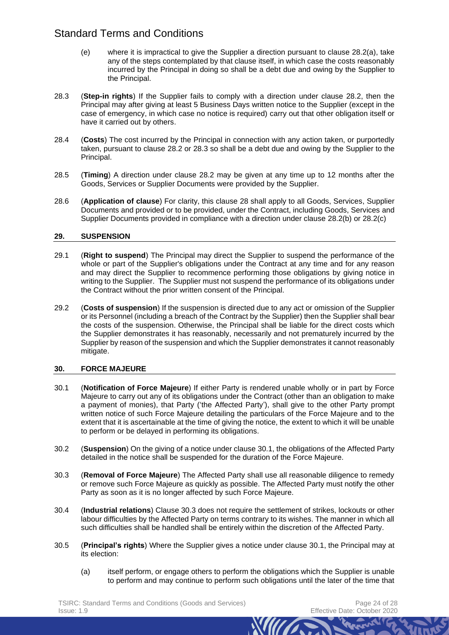- (e) where it is impractical to give the Supplier a direction pursuant to clause [28.2\(a\),](#page-22-2) take any of the steps contemplated by that clause itself, in which case the costs reasonably incurred by the Principal in doing so shall be a debt due and owing by the Supplier to the Principal.
- <span id="page-23-2"></span>28.3 (**Step-in rights**) If the Supplier fails to comply with a direction under clause [28.2,](#page-22-0) then the Principal may after giving at least 5 Business Days written notice to the Supplier (except in the case of emergency, in which case no notice is required) carry out that other obligation itself or have it carried out by others.
- 28.4 (**Costs**) The cost incurred by the Principal in connection with any action taken, or purportedly taken, pursuant to clause [28.2](#page-22-0) or [28.3](#page-23-2) so shall be a debt due and owing by the Supplier to the Principal.
- <span id="page-23-1"></span>28.5 (**Timing**) A direction under clause [28.2](#page-22-0) may be given at any time up to 12 months after the Goods, Services or Supplier Documents were provided by the Supplier.
- 28.6 (**Application of clause**) For clarity, this clause [28](#page-22-3) shall apply to all Goods, Services, Supplier Documents and provided or to be provided, under the Contract, including Goods, Services and Supplier Documents provided in compliance with a direction under clause [28.2\(b\)](#page-22-4) or [28.2\(c\)](#page-22-5)

## **29. SUSPENSION**

- 29.1 (**Right to suspend**) The Principal may direct the Supplier to suspend the performance of the whole or part of the Supplier's obligations under the Contract at any time and for any reason and may direct the Supplier to recommence performing those obligations by giving notice in writing to the Supplier. The Supplier must not suspend the performance of its obligations under the Contract without the prior written consent of the Principal.
- 29.2 (**Costs of suspension**) If the suspension is directed due to any act or omission of the Supplier or its Personnel (including a breach of the Contract by the Supplier) then the Supplier shall bear the costs of the suspension. Otherwise, the Principal shall be liable for the direct costs which the Supplier demonstrates it has reasonably, necessarily and not prematurely incurred by the Supplier by reason of the suspension and which the Supplier demonstrates it cannot reasonably mitigate.

## **30. FORCE MAJEURE**

- <span id="page-23-0"></span>30.1 (**Notification of Force Majeure**) If either Party is rendered unable wholly or in part by Force Majeure to carry out any of its obligations under the Contract (other than an obligation to make a payment of monies), that Party ('the Affected Party'), shall give to the other Party prompt written notice of such Force Majeure detailing the particulars of the Force Majeure and to the extent that it is ascertainable at the time of giving the notice, the extent to which it will be unable to perform or be delayed in performing its obligations.
- 30.2 (**Suspension**) On the giving of a notice under clause [30.1,](#page-23-0) the obligations of the Affected Party detailed in the notice shall be suspended for the duration of the Force Majeure.
- <span id="page-23-3"></span>30.3 (**Removal of Force Majeure**) The Affected Party shall use all reasonable diligence to remedy or remove such Force Majeure as quickly as possible. The Affected Party must notify the other Party as soon as it is no longer affected by such Force Majeure.
- 30.4 (**Industrial relations**) Clause [30.3](#page-23-3) does not require the settlement of strikes, lockouts or other labour difficulties by the Affected Party on terms contrary to its wishes. The manner in which all such difficulties shall be handled shall be entirely within the discretion of the Affected Party.
- 30.5 (**Principal's rights**) Where the Supplier gives a notice under clause [30.1,](#page-23-0) the Principal may at its election:
	- (a) itself perform, or engage others to perform the obligations which the Supplier is unable to perform and may continue to perform such obligations until the later of the time that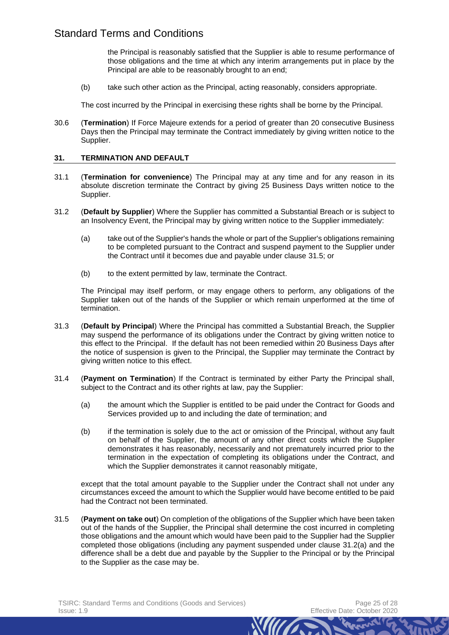the Principal is reasonably satisfied that the Supplier is able to resume performance of those obligations and the time at which any interim arrangements put in place by the Principal are able to be reasonably brought to an end;

(b) take such other action as the Principal, acting reasonably, considers appropriate.

The cost incurred by the Principal in exercising these rights shall be borne by the Principal.

30.6 (**Termination**) If Force Majeure extends for a period of greater than 20 consecutive Business Days then the Principal may terminate the Contract immediately by giving written notice to the Supplier.

#### <span id="page-24-1"></span>**31. TERMINATION AND DEFAULT**

- 31.1 (**Termination for convenience**) The Principal may at any time and for any reason in its absolute discretion terminate the Contract by giving 25 Business Days written notice to the Supplier.
- <span id="page-24-3"></span>31.2 (**Default by Supplier**) Where the Supplier has committed a Substantial Breach or is subject to an Insolvency Event, the Principal may by giving written notice to the Supplier immediately:
	- (a) take out of the Supplier's hands the whole or part of the Supplier's obligations remaining to be completed pursuant to the Contract and suspend payment to the Supplier under the Contract until it becomes due and payable under clause [31.5;](#page-24-2) or
	- (b) to the extent permitted by law, terminate the Contract.

The Principal may itself perform, or may engage others to perform, any obligations of the Supplier taken out of the hands of the Supplier or which remain unperformed at the time of termination.

- 31.3 (**Default by Principal**) Where the Principal has committed a Substantial Breach, the Supplier may suspend the performance of its obligations under the Contract by giving written notice to this effect to the Principal. If the default has not been remedied within 20 Business Days after the notice of suspension is given to the Principal, the Supplier may terminate the Contract by giving written notice to this effect.
- <span id="page-24-0"></span>31.4 (**Payment on Termination**) If the Contract is terminated by either Party the Principal shall, subject to the Contract and its other rights at law, pay the Supplier:
	- (a) the amount which the Supplier is entitled to be paid under the Contract for Goods and Services provided up to and including the date of termination; and
	- (b) if the termination is solely due to the act or omission of the Principal, without any fault on behalf of the Supplier, the amount of any other direct costs which the Supplier demonstrates it has reasonably, necessarily and not prematurely incurred prior to the termination in the expectation of completing its obligations under the Contract, and which the Supplier demonstrates it cannot reasonably mitigate,

except that the total amount payable to the Supplier under the Contract shall not under any circumstances exceed the amount to which the Supplier would have become entitled to be paid had the Contract not been terminated.

<span id="page-24-2"></span>31.5 (**Payment on take out**) On completion of the obligations of the Supplier which have been taken out of the hands of the Supplier, the Principal shall determine the cost incurred in completing those obligations and the amount which would have been paid to the Supplier had the Supplier completed those obligations (including any payment suspended under clause [31.2\(a\)](#page-24-3) and the difference shall be a debt due and payable by the Supplier to the Principal or by the Principal to the Supplier as the case may be.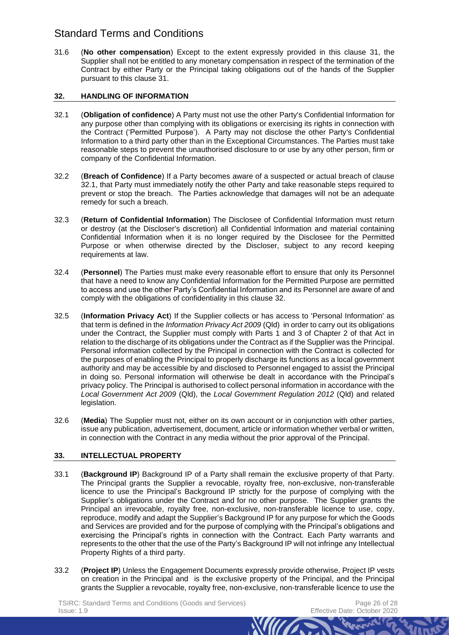<span id="page-25-1"></span>31.6 (**No other compensation**) Except to the extent expressly provided in this clause [31,](#page-24-1) the Supplier shall not be entitled to any monetary compensation in respect of the termination of the Contract by either Party or the Principal taking obligations out of the hands of the Supplier pursuant to this clause [31.](#page-24-1)

## <span id="page-25-0"></span>**32. HANDLING OF INFORMATION**

- <span id="page-25-4"></span>32.1 (**Obligation of confidence**) A Party must not use the other Party's Confidential Information for any purpose other than complying with its obligations or exercising its rights in connection with the Contract ('Permitted Purpose'). A Party may not disclose the other Party's Confidential Information to a third party other than in the Exceptional Circumstances. The Parties must take reasonable steps to prevent the unauthorised disclosure to or use by any other person, firm or company of the Confidential Information.
- 32.2 (**Breach of Confidence**) If a Party becomes aware of a suspected or actual breach of clause [32.1,](#page-25-4) that Party must immediately notify the other Party and take reasonable steps required to prevent or stop the breach. The Parties acknowledge that damages will not be an adequate remedy for such a breach.
- 32.3 (**Return of Confidential Information**) The Disclosee of Confidential Information must return or destroy (at the Discloser's discretion) all Confidential Information and material containing Confidential Information when it is no longer required by the Disclosee for the Permitted Purpose or when otherwise directed by the Discloser, subject to any record keeping requirements at law.
- 32.4 (**Personnel**) The Parties must make every reasonable effort to ensure that only its Personnel that have a need to know any Confidential Information for the Permitted Purpose are permitted to access and use the other Party's Confidential Information and its Personnel are aware of and comply with the obligations of confidentiality in this clause [32.](#page-25-0)
- <span id="page-25-3"></span>32.5 (**Information Privacy Act**) If the Supplier collects or has access to 'Personal Information' as that term is defined in the *Information Privacy Act 2009* (Qld) in order to carry out its obligations under the Contract, the Supplier must comply with Parts 1 and 3 of Chapter 2 of that Act in relation to the discharge of its obligations under the Contract as if the Supplier was the Principal. Personal information collected by the Principal in connection with the Contract is collected for the purposes of enabling the Principal to properly discharge its functions as a local government authority and may be accessible by and disclosed to Personnel engaged to assist the Principal in doing so. Personal information will otherwise be dealt in accordance with the Principal's privacy policy. The Principal is authorised to collect personal information in accordance with the *Local Government Act 2009* (Qld), the *Local Government Regulation 2012* (Qld) and related legislation.
- 32.6 (**Media**) The Supplier must not, either on its own account or in conjunction with other parties, issue any publication, advertisement, document, article or information whether verbal or written, in connection with the Contract in any media without the prior approval of the Principal.

# <span id="page-25-2"></span>**33. INTELLECTUAL PROPERTY**

- 33.1 (**Background IP**) Background IP of a Party shall remain the exclusive property of that Party. The Principal grants the Supplier a revocable, royalty free, non-exclusive, non-transferable licence to use the Principal's Background IP strictly for the purpose of complying with the Supplier's obligations under the Contract and for no other purpose. The Supplier grants the Principal an irrevocable, royalty free, non-exclusive, non-transferable licence to use, copy, reproduce, modify and adapt the Supplier's Background IP for any purpose for which the Goods and Services are provided and for the purpose of complying with the Principal's obligations and exercising the Principal's rights in connection with the Contract. Each Party warrants and represents to the other that the use of the Party's Background IP will not infringe any Intellectual Property Rights of a third party.
- 33.2 (**Project IP**) Unless the Engagement Documents expressly provide otherwise, Project IP vests on creation in the Principal and is the exclusive property of the Principal, and the Principal grants the Supplier a revocable, royalty free, non-exclusive, non-transferable licence to use the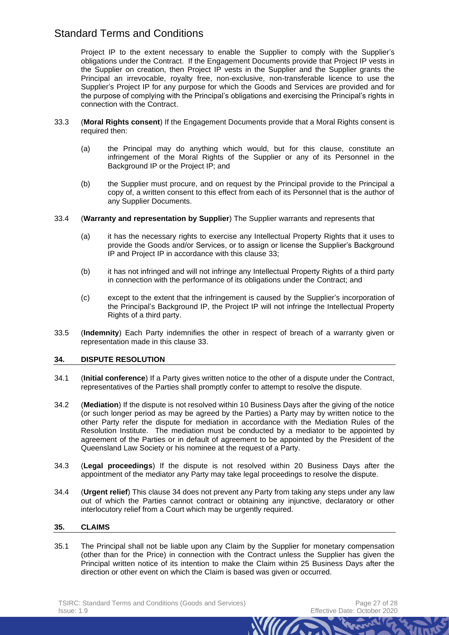Project IP to the extent necessary to enable the Supplier to comply with the Supplier's obligations under the Contract. If the Engagement Documents provide that Project IP vests in the Supplier on creation, then Project IP vests in the Supplier and the Supplier grants the Principal an irrevocable, royalty free, non-exclusive, non-transferable licence to use the Supplier's Project IP for any purpose for which the Goods and Services are provided and for the purpose of complying with the Principal's obligations and exercising the Principal's rights in connection with the Contract.

- 33.3 (**Moral Rights consent**) If the Engagement Documents provide that a Moral Rights consent is required then:
	- (a) the Principal may do anything which would, but for this clause, constitute an infringement of the Moral Rights of the Supplier or any of its Personnel in the Background IP or the Project IP; and
	- (b) the Supplier must procure, and on request by the Principal provide to the Principal a copy of, a written consent to this effect from each of its Personnel that is the author of any Supplier Documents.
- 33.4 (**Warranty and representation by Supplier**) The Supplier warrants and represents that
	- (a) it has the necessary rights to exercise any Intellectual Property Rights that it uses to provide the Goods and/or Services, or to assign or license the Supplier's Background IP and Project IP in accordance with this clause [33;](#page-25-2)
	- (b) it has not infringed and will not infringe any Intellectual Property Rights of a third party in connection with the performance of its obligations under the Contract; and
	- (c) except to the extent that the infringement is caused by the Supplier's incorporation of the Principal's Background IP, the Project IP will not infringe the Intellectual Property Rights of a third party.
- 33.5 (**Indemnity**) Each Party indemnifies the other in respect of breach of a warranty given or representation made in this clause [33.](#page-25-2)

## <span id="page-26-1"></span>**34. DISPUTE RESOLUTION**

- 34.1 (**Initial conference**) If a Party gives written notice to the other of a dispute under the Contract, representatives of the Parties shall promptly confer to attempt to resolve the dispute.
- 34.2 (**Mediation**) If the dispute is not resolved within 10 Business Days after the giving of the notice (or such longer period as may be agreed by the Parties) a Party may by written notice to the other Party refer the dispute for mediation in accordance with the Mediation Rules of the Resolution Institute. The mediation must be conducted by a mediator to be appointed by agreement of the Parties or in default of agreement to be appointed by the President of the Queensland Law Society or his nominee at the request of a Party.
- 34.3 (**Legal proceedings**) If the dispute is not resolved within 20 Business Days after the appointment of the mediator any Party may take legal proceedings to resolve the dispute.
- 34.4 (**Urgent relief**) This clause [34](#page-26-1) does not prevent any Party from taking any steps under any law out of which the Parties cannot contract or obtaining any injunctive, declaratory or other interlocutory relief from a Court which may be urgently required.

## <span id="page-26-0"></span>**35. CLAIMS**

35.1 The Principal shall not be liable upon any Claim by the Supplier for monetary compensation (other than for the Price) in connection with the Contract unless the Supplier has given the Principal written notice of its intention to make the Claim within 25 Business Days after the direction or other event on which the Claim is based was given or occurred.